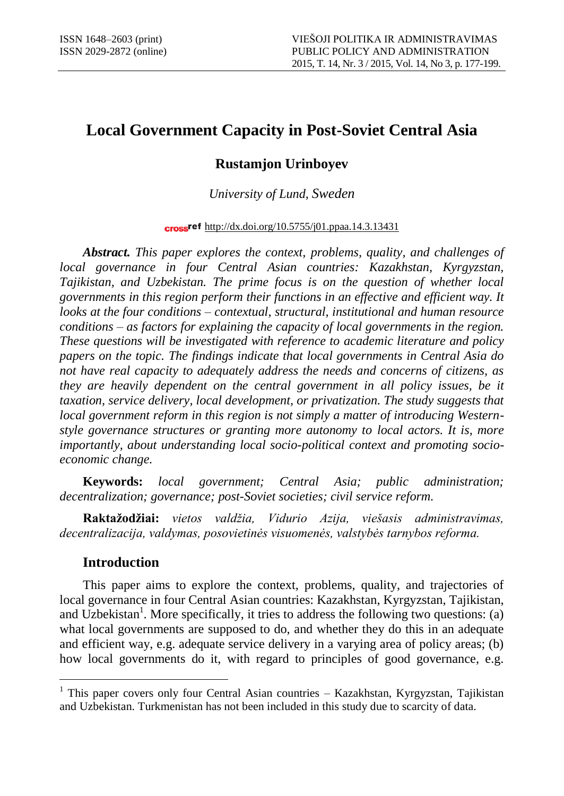# **Local Government Capacity in Post-Soviet Central Asia**

## **Rustamjon Urinboyev**

## *University of Lund, Sweden*

#### cross<sup>ref</sup> <http://dx.doi.org/10.5755/j01.ppaa.14.3.13431>

*Abstract. This paper explores the context, problems, quality, and challenges of local governance in four Central Asian countries: Kazakhstan, Kyrgyzstan, Tajikistan, and Uzbekistan. The prime focus is on the question of whether local governments in this region perform their functions in an effective and efficient way. It looks at the four conditions – contextual, structural, institutional and human resource conditions – as factors for explaining the capacity of local governments in the region. These questions will be investigated with reference to academic literature and policy papers on the topic. The findings indicate that local governments in Central Asia do not have real capacity to adequately address the needs and concerns of citizens, as they are heavily dependent on the central government in all policy issues, be it taxation, service delivery, local development, or privatization. The study suggests that local government reform in this region is not simply a matter of introducing Westernstyle governance structures or granting more autonomy to local actors. It is, more importantly, about understanding local socio-political context and promoting socioeconomic change.*

**Keywords:** *local government; Central Asia; public administration; decentralization; governance; post-Soviet societies; civil service reform.*

**Raktažodžiai:** *vietos valdžia, Vidurio Azija, viešasis administravimas, decentralizacija, valdymas, posovietinės visuomenės, valstybės tarnybos reforma.*

## **Introduction**

 $\overline{a}$ 

This paper aims to explore the context, problems, quality, and trajectories of local governance in four Central Asian countries: Kazakhstan, Kyrgyzstan, Tajikistan, and Uzbekistan<sup>1</sup>. More specifically, it tries to address the following two questions: (a) what local governments are supposed to do, and whether they do this in an adequate and efficient way, e.g. adequate service delivery in a varying area of policy areas; (b) how local governments do it, with regard to principles of good governance, e.g.

<sup>&</sup>lt;sup>1</sup> This paper covers only four Central Asian countries - Kazakhstan, Kyrgyzstan, Tajikistan and Uzbekistan. Turkmenistan has not been included in this study due to scarcity of data.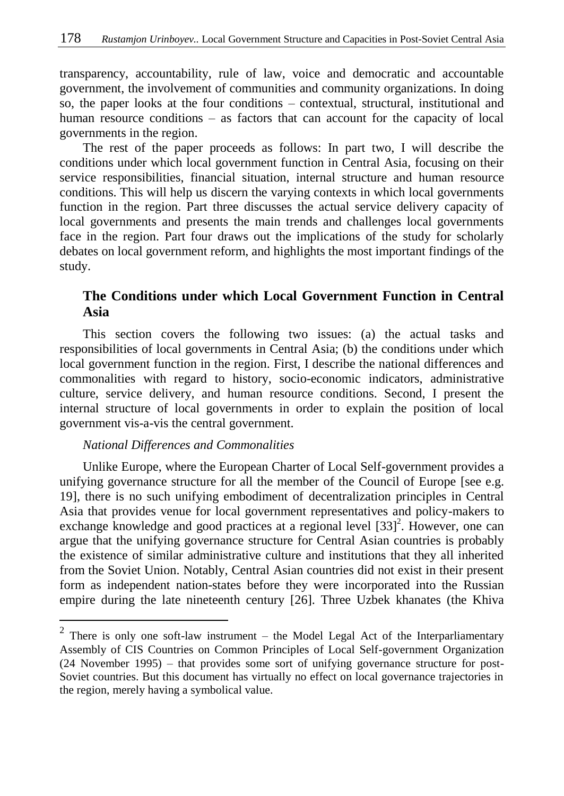transparency, accountability, rule of law, voice and democratic and accountable government, the involvement of communities and community organizations. In doing so, the paper looks at the four conditions – contextual, structural, institutional and human resource conditions – as factors that can account for the capacity of local governments in the region.

The rest of the paper proceeds as follows: In part two, I will describe the conditions under which local government function in Central Asia, focusing on their service responsibilities, financial situation, internal structure and human resource conditions. This will help us discern the varying contexts in which local governments function in the region. Part three discusses the actual service delivery capacity of local governments and presents the main trends and challenges local governments face in the region. Part four draws out the implications of the study for scholarly debates on local government reform, and highlights the most important findings of the study.

## **The Conditions under which Local Government Function in Central Asia**

This section covers the following two issues: (a) the actual tasks and responsibilities of local governments in Central Asia; (b) the conditions under which local government function in the region. First, I describe the national differences and commonalities with regard to history, socio-economic indicators, administrative culture, service delivery, and human resource conditions. Second, I present the internal structure of local governments in order to explain the position of local government vis-a-vis the central government.

## *National Differences and Commonalities*

 $\overline{a}$ 

Unlike Europe, where the European Charter of Local Self-government provides a unifying governance structure for all the member of the Council of Europe [see e.g. 19], there is no such unifying embodiment of decentralization principles in Central Asia that provides venue for local government representatives and policy-makers to exchange knowledge and good practices at a regional level  $[33]^2$ . However, one can argue that the unifying governance structure for Central Asian countries is probably the existence of similar administrative culture and institutions that they all inherited from the Soviet Union. Notably, Central Asian countries did not exist in their present form as independent nation-states before they were incorporated into the Russian empire during the late nineteenth century [26]. Three Uzbek khanates (the Khiva

<sup>2</sup> There is only one soft-law instrument – the Model Legal Act of the Interparliamentary Assembly of CIS Countries on Common Principles of Local Self-government Organization (24 November 1995) – that provides some sort of unifying governance structure for post-Soviet countries. But this document has virtually no effect on local governance trajectories in the region, merely having a symbolical value.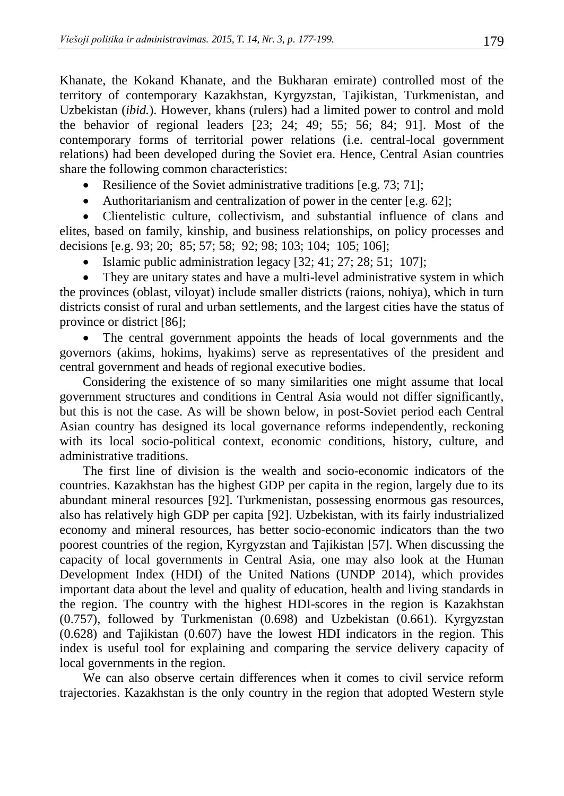Khanate, the Kokand Khanate, and the Bukharan emirate) controlled most of the territory of contemporary Kazakhstan, Kyrgyzstan, Tajikistan, Turkmenistan, and Uzbekistan (*ibid.*). However, khans (rulers) had a limited power to control and mold the behavior of regional leaders [23; 24; 49; 55; 56; 84; 91]. Most of the contemporary forms of territorial power relations (i.e. central-local government relations) had been developed during the Soviet era. Hence, Central Asian countries share the following common characteristics:

- Resilience of the Soviet administrative traditions [e.g. 73; 71];
- Authoritarianism and centralization of power in the center [e.g. 62];

 Clientelistic culture, collectivism, and substantial influence of clans and elites, based on family, kinship, and business relationships, on policy processes and decisions [e.g. 93; 20; 85; 57; 58; 92; 98; 103; 104; 105; 106];

• Islamic public administration legacy  $[32; 41; 27; 28; 51; 107]$ ;

 They are unitary states and have a multi-level administrative system in which the provinces (oblast, viloyat) include smaller districts (raions, nohiya), which in turn districts consist of rural and urban settlements, and the largest cities have the status of province or district [86];

 The central government appoints the heads of local governments and the governors (akims, hokims, hyakims) serve as representatives of the president and central government and heads of regional executive bodies.

Considering the existence of so many similarities one might assume that local government structures and conditions in Central Asia would not differ significantly, but this is not the case. As will be shown below, in post-Soviet period each Central Asian country has designed its local governance reforms independently, reckoning with its local socio-political context, economic conditions, history, culture, and administrative traditions.

The first line of division is the wealth and socio-economic indicators of the countries. Kazakhstan has the highest GDP per capita in the region, largely due to its abundant mineral resources [92]. Turkmenistan, possessing enormous gas resources, also has relatively high GDP per capita [92]. Uzbekistan, with its fairly industrialized economy and mineral resources, has better socio-economic indicators than the two poorest countries of the region, Kyrgyzstan and Tajikistan [57]. When discussing the capacity of local governments in Central Asia, one may also look at the Human Development Index (HDI) of the United Nations (UNDP 2014), which provides important data about the level and quality of education, health and living standards in the region. The country with the highest HDI-scores in the region is Kazakhstan (0.757), followed by Turkmenistan (0.698) and Uzbekistan (0.661). Kyrgyzstan (0.628) and Tajikistan (0.607) have the lowest HDI indicators in the region. This index is useful tool for explaining and comparing the service delivery capacity of local governments in the region.

We can also observe certain differences when it comes to civil service reform trajectories. Kazakhstan is the only country in the region that adopted Western style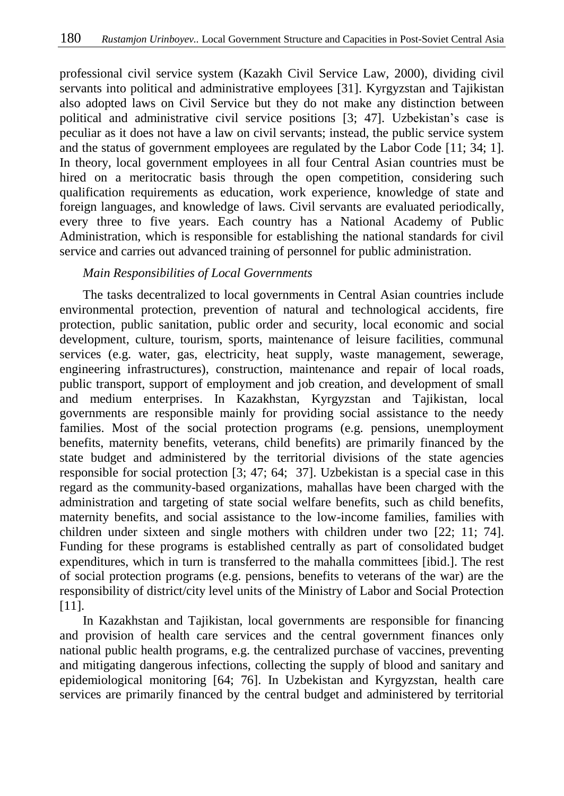professional civil service system (Kazakh Civil Service Law, 2000), dividing civil servants into political and administrative employees [31]. Kyrgyzstan and Tajikistan also adopted laws on Civil Service but they do not make any distinction between political and administrative civil service positions [3; 47]. Uzbekistan's case is peculiar as it does not have a law on civil servants; instead, the public service system and the status of government employees are regulated by the Labor Code [11; 34; 1]. In theory, local government employees in all four Central Asian countries must be hired on a meritocratic basis through the open competition, considering such qualification requirements as education, work experience, knowledge of state and foreign languages, and knowledge of laws. Civil servants are evaluated periodically, every three to five years. Each country has a National Academy of Public Administration, which is responsible for establishing the national standards for civil service and carries out advanced training of personnel for public administration.

#### *Main Responsibilities of Local Governments*

The tasks decentralized to local governments in Central Asian countries include environmental protection, prevention of natural and technological accidents, fire protection, public sanitation, public order and security, local economic and social development, culture, tourism, sports, maintenance of leisure facilities, communal services (e.g. water, gas, electricity, heat supply, waste management, sewerage, engineering infrastructures), construction, maintenance and repair of local roads, public transport, support of employment and job creation, and development of small and medium enterprises. In Kazakhstan, Kyrgyzstan and Tajikistan, local governments are responsible mainly for providing social assistance to the needy families. Most of the social protection programs (e.g. pensions, unemployment benefits, maternity benefits, veterans, child benefits) are primarily financed by the state budget and administered by the territorial divisions of the state agencies responsible for social protection [3; 47; 64; 37]. Uzbekistan is a special case in this regard as the community-based organizations, mahallas have been charged with the administration and targeting of state social welfare benefits, such as child benefits, maternity benefits, and social assistance to the low-income families, families with children under sixteen and single mothers with children under two [22; 11; 74]. Funding for these programs is established centrally as part of consolidated budget expenditures, which in turn is transferred to the mahalla committees [ibid.]. The rest of social protection programs (e.g. pensions, benefits to veterans of the war) are the responsibility of district/city level units of the Ministry of Labor and Social Protection [11].

In Kazakhstan and Tajikistan, local governments are responsible for financing and provision of health care services and the central government finances only national public health programs, e.g. the centralized purchase of vaccines, preventing and mitigating dangerous infections, collecting the supply of blood and sanitary and epidemiological monitoring [64; 76]. In Uzbekistan and Kyrgyzstan, health care services are primarily financed by the central budget and administered by territorial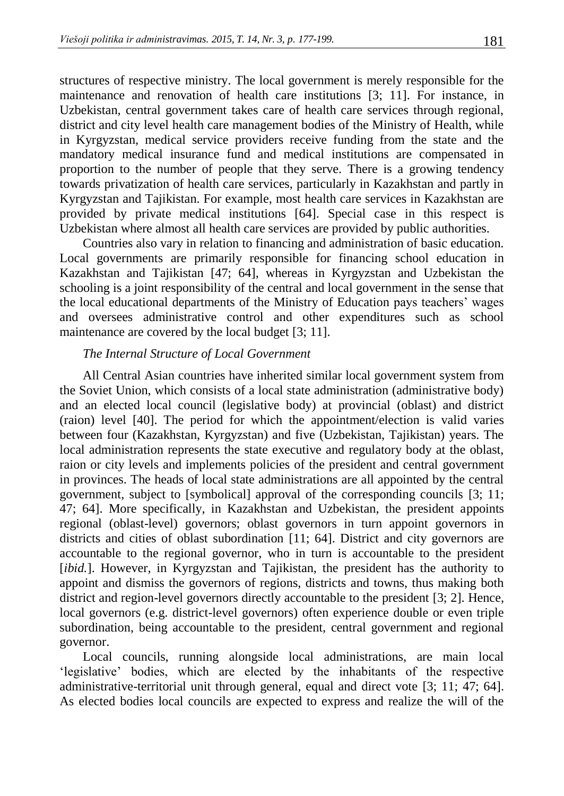structures of respective ministry. The local government is merely responsible for the maintenance and renovation of health care institutions [3; 11]. For instance, in Uzbekistan, central government takes care of health care services through regional, district and city level health care management bodies of the Ministry of Health, while in Kyrgyzstan, medical service providers receive funding from the state and the mandatory medical insurance fund and medical institutions are compensated in proportion to the number of people that they serve. There is a growing tendency towards privatization of health care services, particularly in Kazakhstan and partly in Kyrgyzstan and Tajikistan. For example, most health care services in Kazakhstan are provided by private medical institutions [64]. Special case in this respect is Uzbekistan where almost all health care services are provided by public authorities.

Countries also vary in relation to financing and administration of basic education. Local governments are primarily responsible for financing school education in Kazakhstan and Tajikistan [47; 64], whereas in Kyrgyzstan and Uzbekistan the schooling is a joint responsibility of the central and local government in the sense that the local educational departments of the Ministry of Education pays teachers' wages and oversees administrative control and other expenditures such as school maintenance are covered by the local budget [3; 11].

#### *The Internal Structure of Local Government*

All Central Asian countries have inherited similar local government system from the Soviet Union, which consists of a local state administration (administrative body) and an elected local council (legislative body) at provincial (oblast) and district (raion) level [40]. The period for which the appointment/election is valid varies between four (Kazakhstan, Kyrgyzstan) and five (Uzbekistan, Tajikistan) years. The local administration represents the state executive and regulatory body at the oblast, raion or city levels and implements policies of the president and central government in provinces. The heads of local state administrations are all appointed by the central government, subject to [symbolical] approval of the corresponding councils [3; 11; 47; 64]. More specifically, in Kazakhstan and Uzbekistan, the president appoints regional (oblast-level) governors; oblast governors in turn appoint governors in districts and cities of oblast subordination [11; 64]. District and city governors are accountable to the regional governor, who in turn is accountable to the president [*ibid.*]. However, in Kyrgyzstan and Tajikistan, the president has the authority to appoint and dismiss the governors of regions, districts and towns, thus making both district and region-level governors directly accountable to the president [3; 2]. Hence, local governors (e.g. district-level governors) often experience double or even triple subordination, being accountable to the president, central government and regional governor.

Local councils, running alongside local administrations, are main local 'legislative' bodies, which are elected by the inhabitants of the respective administrative-territorial unit through general, equal and direct vote [3; 11; 47; 64]. As elected bodies local councils are expected to express and realize the will of the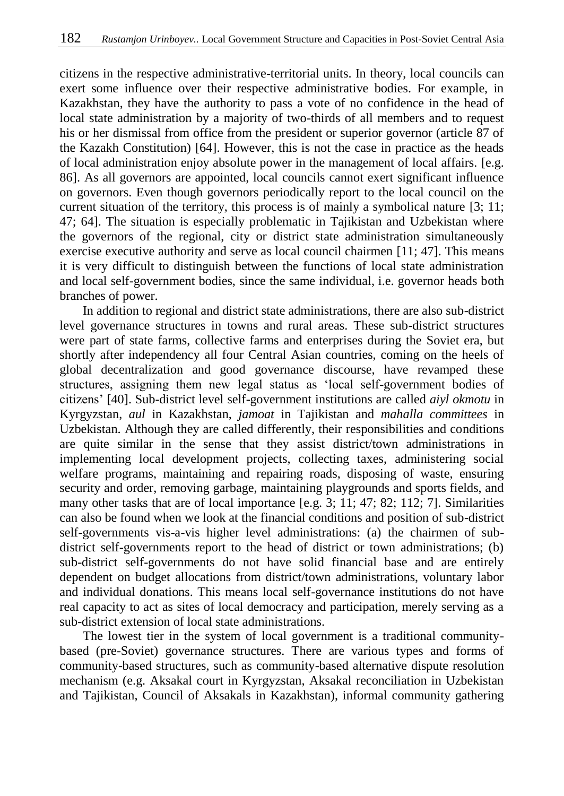citizens in the respective administrative-territorial units. In theory, local councils can exert some influence over their respective administrative bodies. For example, in Kazakhstan, they have the authority to pass a vote of no confidence in the head of local state administration by a majority of two-thirds of all members and to request his or her dismissal from office from the president or superior governor (article 87 of the Kazakh Constitution) [64]. However, this is not the case in practice as the heads of local administration enjoy absolute power in the management of local affairs. [e.g. 86]. As all governors are appointed, local councils cannot exert significant influence on governors. Even though governors periodically report to the local council on the current situation of the territory, this process is of mainly a symbolical nature [3; 11; 47; 64]. The situation is especially problematic in Tajikistan and Uzbekistan where the governors of the regional, city or district state administration simultaneously exercise executive authority and serve as local council chairmen [11; 47]. This means it is very difficult to distinguish between the functions of local state administration and local self-government bodies, since the same individual, i.e. governor heads both branches of power.

In addition to regional and district state administrations, there are also sub-district level governance structures in towns and rural areas. These sub-district structures were part of state farms, collective farms and enterprises during the Soviet era, but shortly after independency all four Central Asian countries, coming on the heels of global decentralization and good governance discourse, have revamped these structures, assigning them new legal status as 'local self-government bodies of citizens' [40]. Sub-district level self-government institutions are called *aiyl okmotu* in Kyrgyzstan, *aul* in Kazakhstan, *jamoat* in Tajikistan and *mahalla committees* in Uzbekistan. Although they are called differently, their responsibilities and conditions are quite similar in the sense that they assist district/town administrations in implementing local development projects, collecting taxes, administering social welfare programs, maintaining and repairing roads, disposing of waste, ensuring security and order, removing garbage, maintaining playgrounds and sports fields, and many other tasks that are of local importance [e.g. 3; 11; 47; 82; 112; 7]. Similarities can also be found when we look at the financial conditions and position of sub-district self-governments vis-a-vis higher level administrations: (a) the chairmen of subdistrict self-governments report to the head of district or town administrations; (b) sub-district self-governments do not have solid financial base and are entirely dependent on budget allocations from district/town administrations, voluntary labor and individual donations. This means local self-governance institutions do not have real capacity to act as sites of local democracy and participation, merely serving as a sub-district extension of local state administrations.

The lowest tier in the system of local government is a traditional communitybased (pre-Soviet) governance structures. There are various types and forms of community-based structures, such as community-based alternative dispute resolution mechanism (e.g. Aksakal court in Kyrgyzstan, Aksakal reconciliation in Uzbekistan and Tajikistan, Council of Aksakals in Kazakhstan), informal community gathering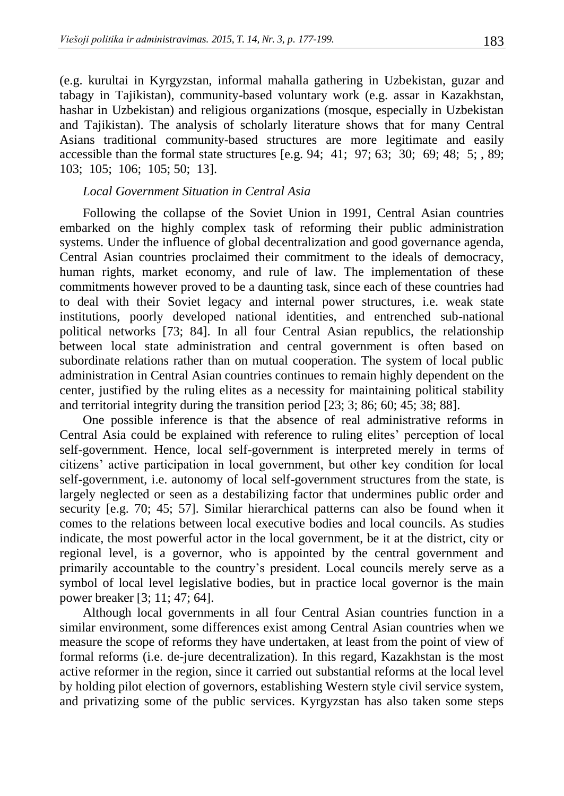(e.g. kurultai in Kyrgyzstan, informal mahalla gathering in Uzbekistan, guzar and tabagy in Tajikistan), community-based voluntary work (e.g. assar in Kazakhstan, hashar in Uzbekistan) and religious organizations (mosque, especially in Uzbekistan and Tajikistan). The analysis of scholarly literature shows that for many Central Asians traditional community-based structures are more legitimate and easily accessible than the formal state structures  $[e.g. 94; 41; 97; 63; 30; 69; 48; 5; 89;$ 103; 105; 106; 105; 50; 13].

## *Local Government Situation in Central Asia*

Following the collapse of the Soviet Union in 1991, Central Asian countries embarked on the highly complex task of reforming their public administration systems. Under the influence of global decentralization and good governance agenda, Central Asian countries proclaimed their commitment to the ideals of democracy, human rights, market economy, and rule of law. The implementation of these commitments however proved to be a daunting task, since each of these countries had to deal with their Soviet legacy and internal power structures, i.e. weak state institutions, poorly developed national identities, and entrenched sub-national political networks [73; 84]. In all four Central Asian republics, the relationship between local state administration and central government is often based on subordinate relations rather than on mutual cooperation. The system of local public administration in Central Asian countries continues to remain highly dependent on the center, justified by the ruling elites as a necessity for maintaining political stability and territorial integrity during the transition period [23; 3; 86; 60; 45; 38; 88].

One possible inference is that the absence of real administrative reforms in Central Asia could be explained with reference to ruling elites' perception of local self-government. Hence, local self-government is interpreted merely in terms of citizens' active participation in local government, but other key condition for local self-government, i.e. autonomy of local self-government structures from the state, is largely neglected or seen as a destabilizing factor that undermines public order and security [e.g. 70; 45; 57]. Similar hierarchical patterns can also be found when it comes to the relations between local executive bodies and local councils. As studies indicate, the most powerful actor in the local government, be it at the district, city or regional level, is a governor, who is appointed by the central government and primarily accountable to the country's president. Local councils merely serve as a symbol of local level legislative bodies, but in practice local governor is the main power breaker [3; 11; 47; 64].

Although local governments in all four Central Asian countries function in a similar environment, some differences exist among Central Asian countries when we measure the scope of reforms they have undertaken, at least from the point of view of formal reforms (i.e. de-jure decentralization). In this regard, Kazakhstan is the most active reformer in the region, since it carried out substantial reforms at the local level by holding pilot election of governors, establishing Western style civil service system, and privatizing some of the public services. Kyrgyzstan has also taken some steps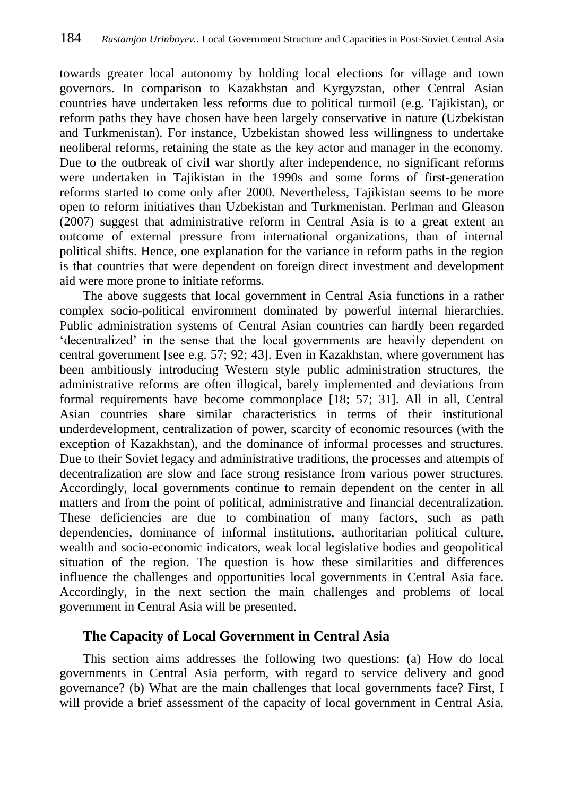towards greater local autonomy by holding local elections for village and town governors. In comparison to Kazakhstan and Kyrgyzstan, other Central Asian countries have undertaken less reforms due to political turmoil (e.g. Tajikistan), or reform paths they have chosen have been largely conservative in nature (Uzbekistan and Turkmenistan). For instance, Uzbekistan showed less willingness to undertake neoliberal reforms, retaining the state as the key actor and manager in the economy. Due to the outbreak of civil war shortly after independence, no significant reforms were undertaken in Tajikistan in the 1990s and some forms of first-generation reforms started to come only after 2000. Nevertheless, Tajikistan seems to be more open to reform initiatives than Uzbekistan and Turkmenistan. Perlman and Gleason (2007) suggest that administrative reform in Central Asia is to a great extent an outcome of external pressure from international organizations, than of internal political shifts. Hence, one explanation for the variance in reform paths in the region is that countries that were dependent on foreign direct investment and development aid were more prone to initiate reforms.

The above suggests that local government in Central Asia functions in a rather complex socio-political environment dominated by powerful internal hierarchies. Public administration systems of Central Asian countries can hardly been regarded 'decentralized' in the sense that the local governments are heavily dependent on central government [see e.g. 57; 92; 43]. Even in Kazakhstan, where government has been ambitiously introducing Western style public administration structures, the administrative reforms are often illogical, barely implemented and deviations from formal requirements have become commonplace [18; 57; 31]. All in all, Central Asian countries share similar characteristics in terms of their institutional underdevelopment, centralization of power, scarcity of economic resources (with the exception of Kazakhstan), and the dominance of informal processes and structures. Due to their Soviet legacy and administrative traditions, the processes and attempts of decentralization are slow and face strong resistance from various power structures. Accordingly, local governments continue to remain dependent on the center in all matters and from the point of political, administrative and financial decentralization. These deficiencies are due to combination of many factors, such as path dependencies, dominance of informal institutions, authoritarian political culture, wealth and socio-economic indicators, weak local legislative bodies and geopolitical situation of the region. The question is how these similarities and differences influence the challenges and opportunities local governments in Central Asia face. Accordingly, in the next section the main challenges and problems of local government in Central Asia will be presented.

## **The Capacity of Local Government in Central Asia**

This section aims addresses the following two questions: (a) How do local governments in Central Asia perform, with regard to service delivery and good governance? (b) What are the main challenges that local governments face? First, I will provide a brief assessment of the capacity of local government in Central Asia,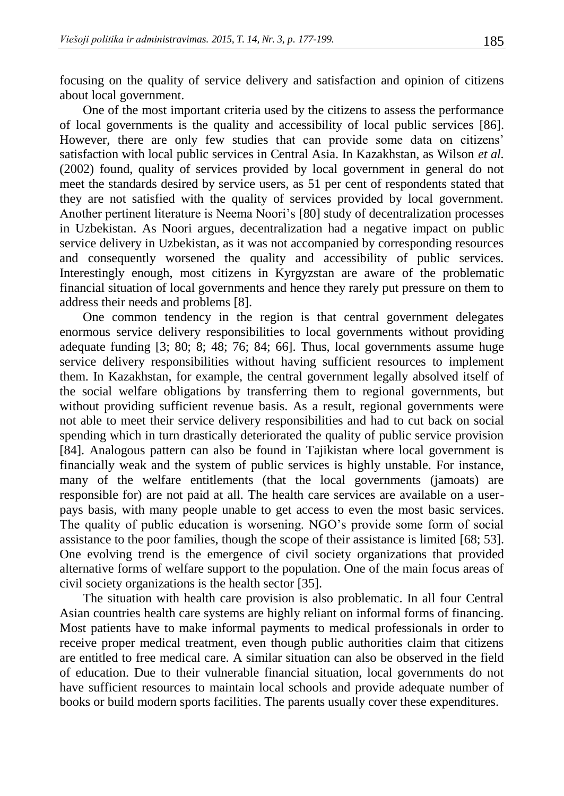focusing on the quality of service delivery and satisfaction and opinion of citizens about local government.

One of the most important criteria used by the citizens to assess the performance of local governments is the quality and accessibility of local public services [86]. However, there are only few studies that can provide some data on citizens' satisfaction with local public services in Central Asia. In Kazakhstan, as Wilson *et al.* (2002) found, quality of services provided by local government in general do not meet the standards desired by service users, as 51 per cent of respondents stated that they are not satisfied with the quality of services provided by local government. Another pertinent literature is Neema Noori's [80] study of decentralization processes in Uzbekistan. As Noori argues, decentralization had a negative impact on public service delivery in Uzbekistan, as it was not accompanied by corresponding resources and consequently worsened the quality and accessibility of public services. Interestingly enough, most citizens in Kyrgyzstan are aware of the problematic financial situation of local governments and hence they rarely put pressure on them to address their needs and problems [8].

One common tendency in the region is that central government delegates enormous service delivery responsibilities to local governments without providing adequate funding [3; 80; 8; 48; 76; 84; 66]. Thus, local governments assume huge service delivery responsibilities without having sufficient resources to implement them. In Kazakhstan, for example, the central government legally absolved itself of the social welfare obligations by transferring them to regional governments, but without providing sufficient revenue basis. As a result, regional governments were not able to meet their service delivery responsibilities and had to cut back on social spending which in turn drastically deteriorated the quality of public service provision [84]. Analogous pattern can also be found in Tajikistan where local government is financially weak and the system of public services is highly unstable. For instance, many of the welfare entitlements (that the local governments (jamoats) are responsible for) are not paid at all. The health care services are available on a userpays basis, with many people unable to get access to even the most basic services. The quality of public education is worsening. NGO's provide some form of social assistance to the poor families, though the scope of their assistance is limited [68; 53]. One evolving trend is the emergence of civil society organizations that provided alternative forms of welfare support to the population. One of the main focus areas of civil society organizations is the health sector [35].

The situation with health care provision is also problematic. In all four Central Asian countries health care systems are highly reliant on informal forms of financing. Most patients have to make informal payments to medical professionals in order to receive proper medical treatment, even though public authorities claim that citizens are entitled to free medical care. A similar situation can also be observed in the field of education. Due to their vulnerable financial situation, local governments do not have sufficient resources to maintain local schools and provide adequate number of books or build modern sports facilities. The parents usually cover these expenditures.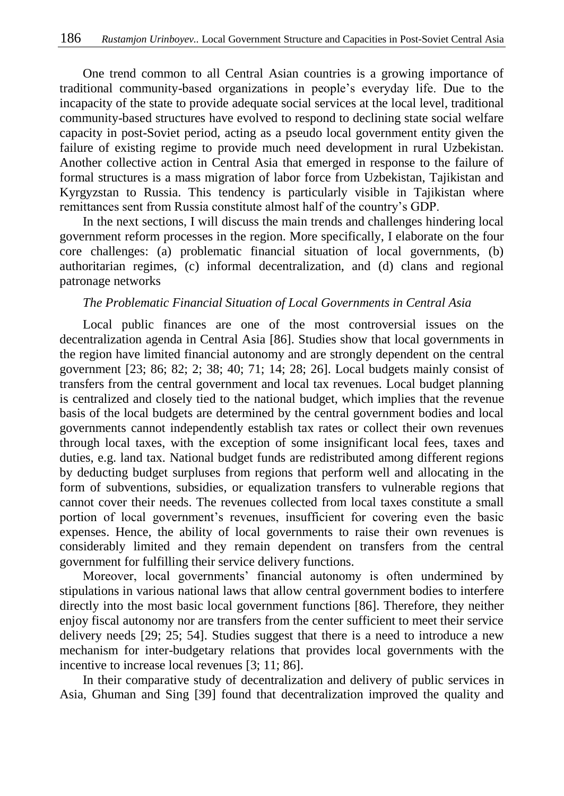One trend common to all Central Asian countries is a growing importance of traditional community-based organizations in people's everyday life. Due to the incapacity of the state to provide adequate social services at the local level, traditional community-based structures have evolved to respond to declining state social welfare capacity in post-Soviet period, acting as a pseudo local government entity given the failure of existing regime to provide much need development in rural Uzbekistan. Another collective action in Central Asia that emerged in response to the failure of formal structures is a mass migration of labor force from Uzbekistan, Tajikistan and Kyrgyzstan to Russia. This tendency is particularly visible in Tajikistan where remittances sent from Russia constitute almost half of the country's GDP.

In the next sections, I will discuss the main trends and challenges hindering local government reform processes in the region. More specifically, I elaborate on the four core challenges: (a) problematic financial situation of local governments, (b) authoritarian regimes, (c) informal decentralization, and (d) clans and regional patronage networks

## *The Problematic Financial Situation of Local Governments in Central Asia*

Local public finances are one of the most controversial issues on the decentralization agenda in Central Asia [86]. Studies show that local governments in the region have limited financial autonomy and are strongly dependent on the central government [23; 86; 82; 2; 38; 40; 71; 14; 28; 26]. Local budgets mainly consist of transfers from the central government and local tax revenues. Local budget planning is centralized and closely tied to the national budget, which implies that the revenue basis of the local budgets are determined by the central government bodies and local governments cannot independently establish tax rates or collect their own revenues through local taxes, with the exception of some insignificant local fees, taxes and duties, e.g. land tax. National budget funds are redistributed among different regions by deducting budget surpluses from regions that perform well and allocating in the form of subventions, subsidies, or equalization transfers to vulnerable regions that cannot cover their needs. The revenues collected from local taxes constitute a small portion of local government's revenues, insufficient for covering even the basic expenses. Hence, the ability of local governments to raise their own revenues is considerably limited and they remain dependent on transfers from the central government for fulfilling their service delivery functions.

Moreover, local governments' financial autonomy is often undermined by stipulations in various national laws that allow central government bodies to interfere directly into the most basic local government functions [86]. Therefore, they neither enjoy fiscal autonomy nor are transfers from the center sufficient to meet their service delivery needs [29; 25; 54]. Studies suggest that there is a need to introduce a new mechanism for inter-budgetary relations that provides local governments with the incentive to increase local revenues [3; 11; 86].

In their comparative study of decentralization and delivery of public services in Asia, Ghuman and Sing [39] found that decentralization improved the quality and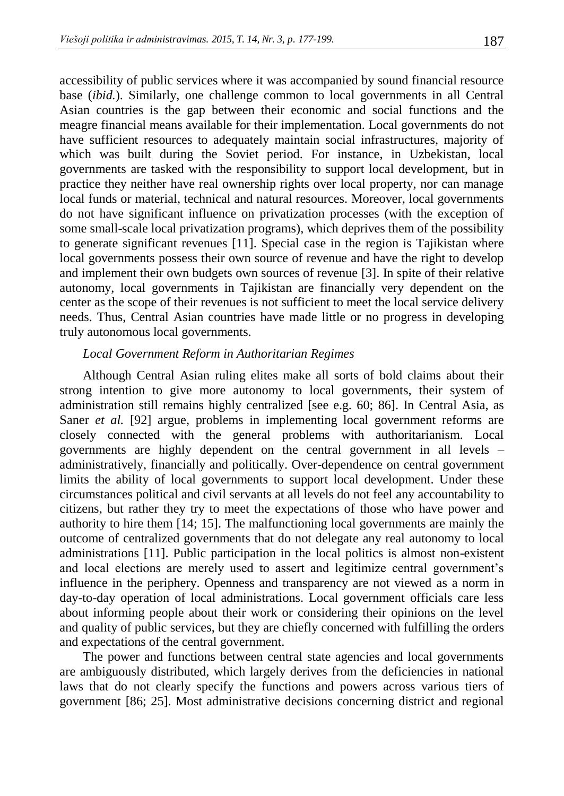accessibility of public services where it was accompanied by sound financial resource base (*ibid.*). Similarly, one challenge common to local governments in all Central Asian countries is the gap between their economic and social functions and the meagre financial means available for their implementation. Local governments do not have sufficient resources to adequately maintain social infrastructures, majority of which was built during the Soviet period. For instance, in Uzbekistan, local governments are tasked with the responsibility to support local development, but in practice they neither have real ownership rights over local property, nor can manage local funds or material, technical and natural resources. Moreover, local governments do not have significant influence on privatization processes (with the exception of some small-scale local privatization programs), which deprives them of the possibility to generate significant revenues [11]. Special case in the region is Tajikistan where local governments possess their own source of revenue and have the right to develop and implement their own budgets own sources of revenue [3]. In spite of their relative autonomy, local governments in Tajikistan are financially very dependent on the center as the scope of their revenues is not sufficient to meet the local service delivery needs. Thus, Central Asian countries have made little or no progress in developing truly autonomous local governments.

## *Local Government Reform in Authoritarian Regimes*

Although Central Asian ruling elites make all sorts of bold claims about their strong intention to give more autonomy to local governments, their system of administration still remains highly centralized [see e.g. 60; 86]. In Central Asia, as Saner *et al.* [92] argue, problems in implementing local government reforms are closely connected with the general problems with authoritarianism. Local governments are highly dependent on the central government in all levels – administratively, financially and politically. Over-dependence on central government limits the ability of local governments to support local development. Under these circumstances political and civil servants at all levels do not feel any accountability to citizens, but rather they try to meet the expectations of those who have power and authority to hire them [14; 15]. The malfunctioning local governments are mainly the outcome of centralized governments that do not delegate any real autonomy to local administrations [11]. Public participation in the local politics is almost non-existent and local elections are merely used to assert and legitimize central government's influence in the periphery. Openness and transparency are not viewed as a norm in day-to-day operation of local administrations. Local government officials care less about informing people about their work or considering their opinions on the level and quality of public services, but they are chiefly concerned with fulfilling the orders and expectations of the central government.

The power and functions between central state agencies and local governments are ambiguously distributed, which largely derives from the deficiencies in national laws that do not clearly specify the functions and powers across various tiers of government [86; 25]. Most administrative decisions concerning district and regional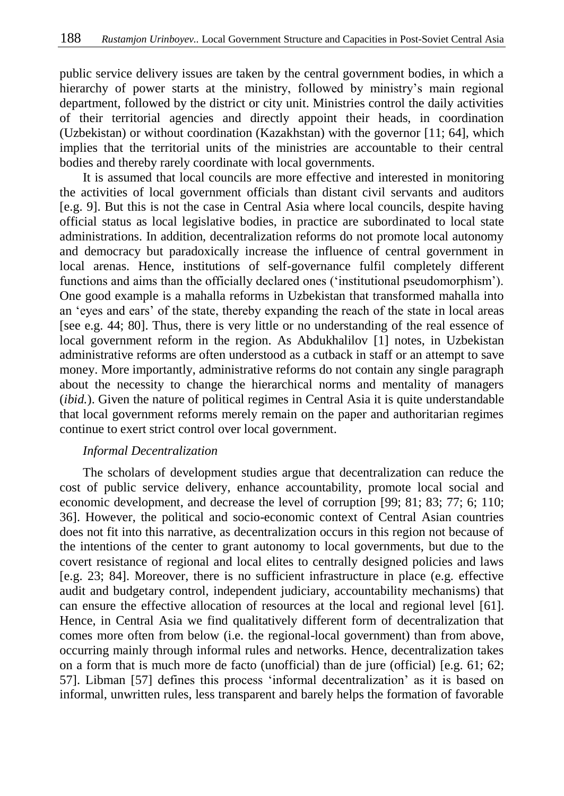public service delivery issues are taken by the central government bodies, in which a hierarchy of power starts at the ministry, followed by ministry's main regional department, followed by the district or city unit. Ministries control the daily activities of their territorial agencies and directly appoint their heads, in coordination (Uzbekistan) or without coordination (Kazakhstan) with the governor [11; 64], which implies that the territorial units of the ministries are accountable to their central bodies and thereby rarely coordinate with local governments.

It is assumed that local councils are more effective and interested in monitoring the activities of local government officials than distant civil servants and auditors [e.g. 9]. But this is not the case in Central Asia where local councils, despite having official status as local legislative bodies, in practice are subordinated to local state administrations. In addition, decentralization reforms do not promote local autonomy and democracy but paradoxically increase the influence of central government in local arenas. Hence, institutions of self-governance fulfil completely different functions and aims than the officially declared ones ('institutional pseudomorphism'). One good example is a mahalla reforms in Uzbekistan that transformed mahalla into an 'eyes and ears' of the state, thereby expanding the reach of the state in local areas [see e.g. 44; 80]. Thus, there is very little or no understanding of the real essence of local government reform in the region. As Abdukhalilov [1] notes, in Uzbekistan administrative reforms are often understood as a cutback in staff or an attempt to save money. More importantly, administrative reforms do not contain any single paragraph about the necessity to change the hierarchical norms and mentality of managers (*ibid.*). Given the nature of political regimes in Central Asia it is quite understandable that local government reforms merely remain on the paper and authoritarian regimes continue to exert strict control over local government.

## *Informal Decentralization*

The scholars of development studies argue that decentralization can reduce the cost of public service delivery, enhance accountability, promote local social and economic development, and decrease the level of corruption [99; 81; 83; 77; 6; 110; 36]. However, the political and socio-economic context of Central Asian countries does not fit into this narrative, as decentralization occurs in this region not because of the intentions of the center to grant autonomy to local governments, but due to the covert resistance of regional and local elites to centrally designed policies and laws [e.g. 23; 84]. Moreover, there is no sufficient infrastructure in place (e.g. effective audit and budgetary control, independent judiciary, accountability mechanisms) that can ensure the effective allocation of resources at the local and regional level [61]. Hence, in Central Asia we find qualitatively different form of decentralization that comes more often from below (i.e. the regional-local government) than from above, occurring mainly through informal rules and networks. Hence, decentralization takes on a form that is much more de facto (unofficial) than de jure (official) [e.g. 61; 62; 57]. Libman [57] defines this process 'informal decentralization' as it is based on informal, unwritten rules, less transparent and barely helps the formation of favorable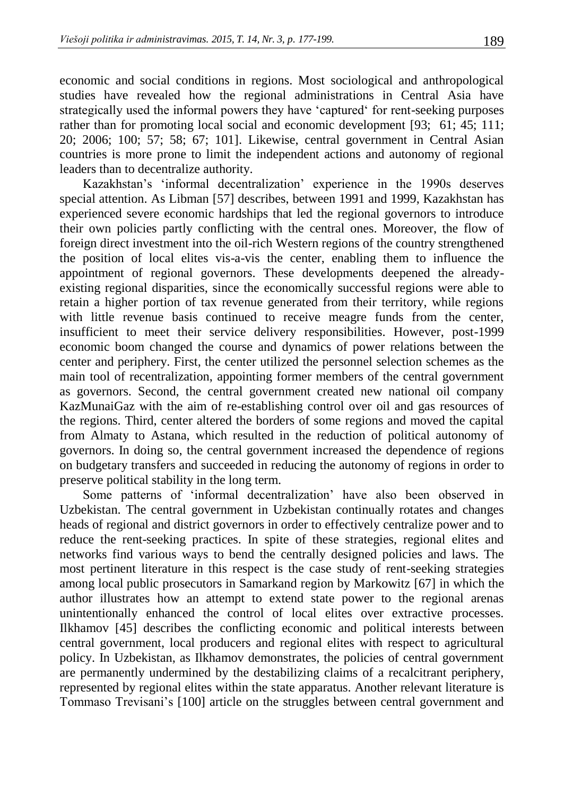economic and social conditions in regions. Most sociological and anthropological studies have revealed how the regional administrations in Central Asia have strategically used the informal powers they have 'captured' for rent-seeking purposes rather than for promoting local social and economic development [93; 61; 45; 111; 20; 2006; 100; 57; 58; 67; 101]. Likewise, central government in Central Asian countries is more prone to limit the independent actions and autonomy of regional leaders than to decentralize authority.

Kazakhstan's 'informal decentralization' experience in the 1990s deserves special attention. As Libman [57] describes, between 1991 and 1999, Kazakhstan has experienced severe economic hardships that led the regional governors to introduce their own policies partly conflicting with the central ones. Moreover, the flow of foreign direct investment into the oil-rich Western regions of the country strengthened the position of local elites vis-a-vis the center, enabling them to influence the appointment of regional governors. These developments deepened the alreadyexisting regional disparities, since the economically successful regions were able to retain a higher portion of tax revenue generated from their territory, while regions with little revenue basis continued to receive meagre funds from the center, insufficient to meet their service delivery responsibilities. However, post-1999 economic boom changed the course and dynamics of power relations between the center and periphery. First, the center utilized the personnel selection schemes as the main tool of recentralization, appointing former members of the central government as governors. Second, the central government created new national oil company KazMunaiGaz with the aim of re-establishing control over oil and gas resources of the regions. Third, center altered the borders of some regions and moved the capital from Almaty to Astana, which resulted in the reduction of political autonomy of governors. In doing so, the central government increased the dependence of regions on budgetary transfers and succeeded in reducing the autonomy of regions in order to preserve political stability in the long term.

Some patterns of 'informal decentralization' have also been observed in Uzbekistan. The central government in Uzbekistan continually rotates and changes heads of regional and district governors in order to effectively centralize power and to reduce the rent-seeking practices. In spite of these strategies, regional elites and networks find various ways to bend the centrally designed policies and laws. The most pertinent literature in this respect is the case study of rent-seeking strategies among local public prosecutors in Samarkand region by Markowitz [67] in which the author illustrates how an attempt to extend state power to the regional arenas unintentionally enhanced the control of local elites over extractive processes. Ilkhamov [45] describes the conflicting economic and political interests between central government, local producers and regional elites with respect to agricultural policy. In Uzbekistan, as Ilkhamov demonstrates, the policies of central government are permanently undermined by the destabilizing claims of a recalcitrant periphery, represented by regional elites within the state apparatus. Another relevant literature is Tommaso Trevisani's [100] article on the struggles between central government and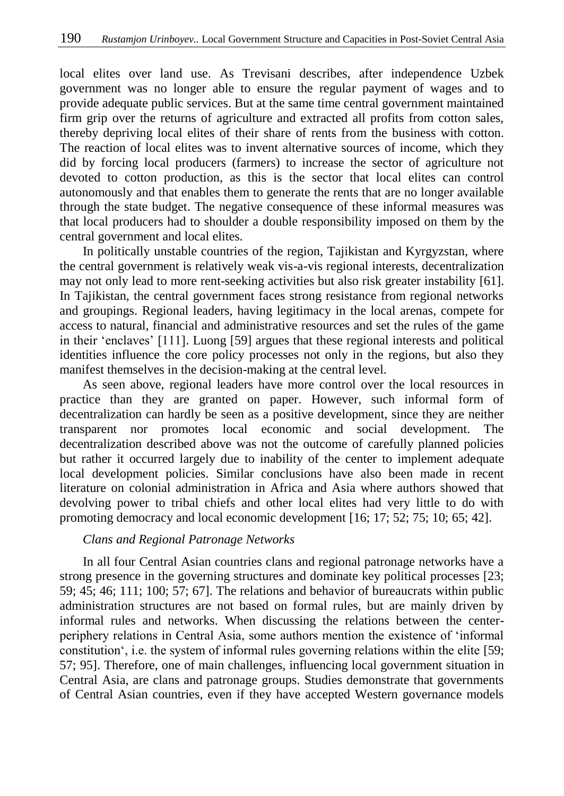local elites over land use. As Trevisani describes, after independence Uzbek government was no longer able to ensure the regular payment of wages and to provide adequate public services. But at the same time central government maintained firm grip over the returns of agriculture and extracted all profits from cotton sales, thereby depriving local elites of their share of rents from the business with cotton. The reaction of local elites was to invent alternative sources of income, which they did by forcing local producers (farmers) to increase the sector of agriculture not devoted to cotton production, as this is the sector that local elites can control autonomously and that enables them to generate the rents that are no longer available through the state budget. The negative consequence of these informal measures was that local producers had to shoulder a double responsibility imposed on them by the central government and local elites.

In politically unstable countries of the region, Tajikistan and Kyrgyzstan, where the central government is relatively weak vis-a-vis regional interests, decentralization may not only lead to more rent-seeking activities but also risk greater instability [61]. In Tajikistan, the central government faces strong resistance from regional networks and groupings. Regional leaders, having legitimacy in the local arenas, compete for access to natural, financial and administrative resources and set the rules of the game in their 'enclaves' [111]. Luong [59] argues that these regional interests and political identities influence the core policy processes not only in the regions, but also they manifest themselves in the decision-making at the central level.

As seen above, regional leaders have more control over the local resources in practice than they are granted on paper. However, such informal form of decentralization can hardly be seen as a positive development, since they are neither transparent nor promotes local economic and social development. The decentralization described above was not the outcome of carefully planned policies but rather it occurred largely due to inability of the center to implement adequate local development policies. Similar conclusions have also been made in recent literature on colonial administration in Africa and Asia where authors showed that devolving power to tribal chiefs and other local elites had very little to do with promoting democracy and local economic development [16; 17; 52; 75; 10; 65; 42].

## *Clans and Regional Patronage Networks*

In all four Central Asian countries clans and regional patronage networks have a strong presence in the governing structures and dominate key political processes [23; 59; 45; 46; 111; 100; 57; 67]. The relations and behavior of bureaucrats within public administration structures are not based on formal rules, but are mainly driven by informal rules and networks. When discussing the relations between the centerperiphery relations in Central Asia, some authors mention the existence of 'informal constitution', i.e. the system of informal rules governing relations within the elite [59; 57; 95]. Therefore, one of main challenges, influencing local government situation in Central Asia, are clans and patronage groups. Studies demonstrate that governments of Central Asian countries, even if they have accepted Western governance models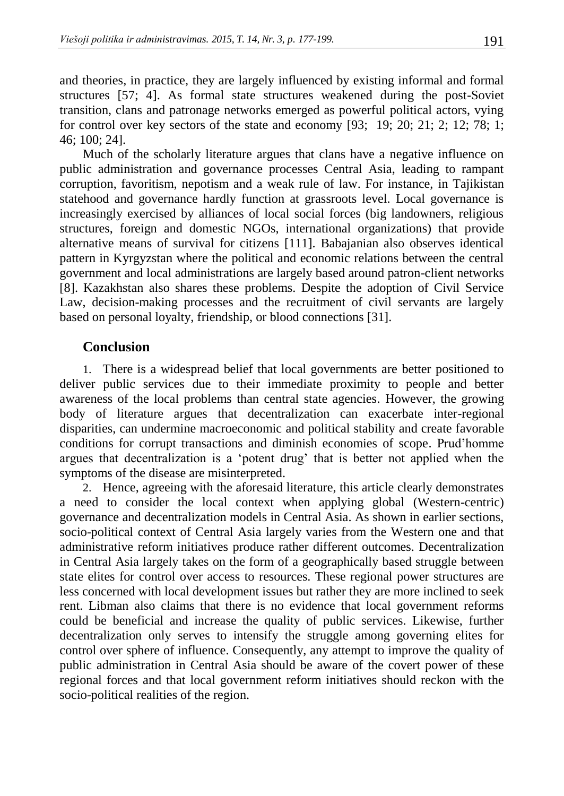and theories, in practice, they are largely influenced by existing informal and formal structures [57; 4]. As formal state structures weakened during the post-Soviet transition, clans and patronage networks emerged as powerful political actors, vying for control over key sectors of the state and economy [93; 19; 20; 21; 2; 12; 78; 1; 46; 100; 24].

Much of the scholarly literature argues that clans have a negative influence on public administration and governance processes Central Asia, leading to rampant corruption, favoritism, nepotism and a weak rule of law. For instance, in Tajikistan statehood and governance hardly function at grassroots level. Local governance is increasingly exercised by alliances of local social forces (big landowners, religious structures, foreign and domestic NGOs, international organizations) that provide alternative means of survival for citizens [111]. Babajanian also observes identical pattern in Kyrgyzstan where the political and economic relations between the central government and local administrations are largely based around patron-client networks [8]. Kazakhstan also shares these problems. Despite the adoption of Civil Service Law, decision-making processes and the recruitment of civil servants are largely based on personal loyalty, friendship, or blood connections [31].

## **Conclusion**

1. There is a widespread belief that local governments are better positioned to deliver public services due to their immediate proximity to people and better awareness of the local problems than central state agencies. However, the growing body of literature argues that decentralization can exacerbate inter-regional disparities, can undermine macroeconomic and political stability and create favorable conditions for corrupt transactions and diminish economies of scope. Prud'homme argues that decentralization is a 'potent drug' that is better not applied when the symptoms of the disease are misinterpreted.

2. Hence, agreeing with the aforesaid literature, this article clearly demonstrates a need to consider the local context when applying global (Western-centric) governance and decentralization models in Central Asia. As shown in earlier sections, socio-political context of Central Asia largely varies from the Western one and that administrative reform initiatives produce rather different outcomes. Decentralization in Central Asia largely takes on the form of a geographically based struggle between state elites for control over access to resources. These regional power structures are less concerned with local development issues but rather they are more inclined to seek rent. Libman also claims that there is no evidence that local government reforms could be beneficial and increase the quality of public services. Likewise, further decentralization only serves to intensify the struggle among governing elites for control over sphere of influence. Consequently, any attempt to improve the quality of public administration in Central Asia should be aware of the covert power of these regional forces and that local government reform initiatives should reckon with the socio-political realities of the region.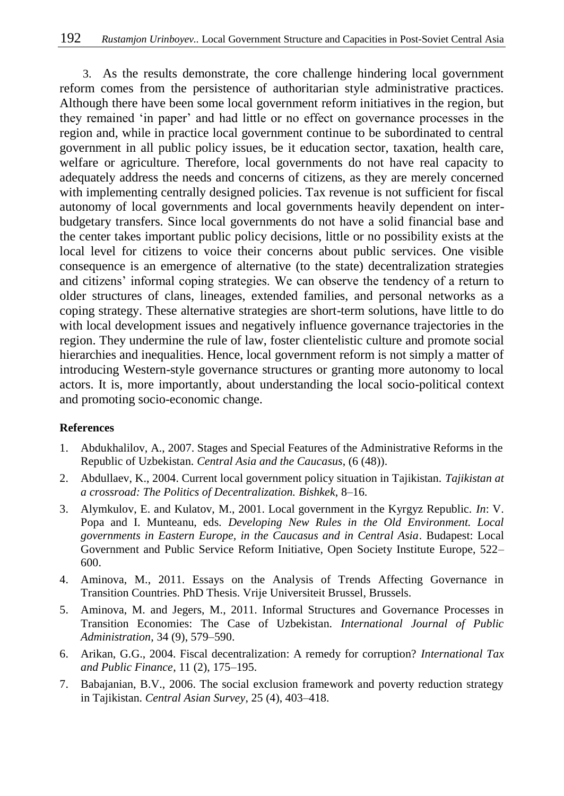3. As the results demonstrate, the core challenge hindering local government reform comes from the persistence of authoritarian style administrative practices. Although there have been some local government reform initiatives in the region, but they remained 'in paper' and had little or no effect on governance processes in the region and, while in practice local government continue to be subordinated to central government in all public policy issues, be it education sector, taxation, health care, welfare or agriculture. Therefore, local governments do not have real capacity to adequately address the needs and concerns of citizens, as they are merely concerned with implementing centrally designed policies. Tax revenue is not sufficient for fiscal autonomy of local governments and local governments heavily dependent on interbudgetary transfers. Since local governments do not have a solid financial base and the center takes important public policy decisions, little or no possibility exists at the local level for citizens to voice their concerns about public services. One visible consequence is an emergence of alternative (to the state) decentralization strategies and citizens' informal coping strategies. We can observe the tendency of a return to older structures of clans, lineages, extended families, and personal networks as a coping strategy. These alternative strategies are short-term solutions, have little to do with local development issues and negatively influence governance trajectories in the region. They undermine the rule of law, foster clientelistic culture and promote social hierarchies and inequalities. Hence, local government reform is not simply a matter of introducing Western-style governance structures or granting more autonomy to local actors. It is, more importantly, about understanding the local socio-political context and promoting socio-economic change.

## **References**

- 1. Abdukhalilov, A., 2007. Stages and Special Features of the Administrative Reforms in the Republic of Uzbekistan. *Central Asia and the Caucasus*, (6 (48)).
- 2. Abdullaev, K., 2004. Current local government policy situation in Tajikistan. *Tajikistan at a crossroad: The Politics of Decentralization. Bishkek*, 8–16.
- 3. Alymkulov, E. and Kulatov, M., 2001. Local government in the Kyrgyz Republic. *In*: V. Popa and I. Munteanu, eds. *Developing New Rules in the Old Environment. Local governments in Eastern Europe, in the Caucasus and in Central Asia*. Budapest: Local Government and Public Service Reform Initiative, Open Society Institute Europe, 522– 600.
- 4. Aminova, M., 2011. Essays on the Analysis of Trends Affecting Governance in Transition Countries. PhD Thesis. Vrije Universiteit Brussel, Brussels.
- 5. Aminova, M. and Jegers, M., 2011. Informal Structures and Governance Processes in Transition Economies: The Case of Uzbekistan. *International Journal of Public Administration*, 34 (9), 579–590.
- 6. Arikan, G.G., 2004. Fiscal decentralization: A remedy for corruption? *International Tax and Public Finance*, 11 (2), 175–195.
- 7. Babajanian, B.V., 2006. The social exclusion framework and poverty reduction strategy in Tajikistan. *Central Asian Survey*, 25 (4), 403–418.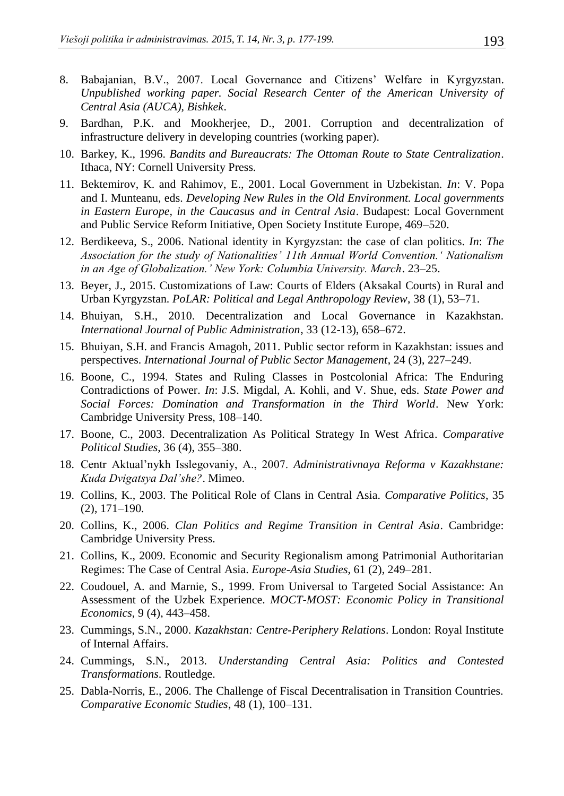- 8. Babajanian, B.V., 2007. Local Governance and Citizens' Welfare in Kyrgyzstan. *Unpublished working paper. Social Research Center of the American University of Central Asia (AUCA), Bishkek*.
- 9. Bardhan, P.K. and Mookherjee, D., 2001. Corruption and decentralization of infrastructure delivery in developing countries (working paper).
- 10. Barkey, K., 1996. *Bandits and Bureaucrats: The Ottoman Route to State Centralization*. Ithaca, NY: Cornell University Press.
- 11. Bektemirov, K. and Rahimov, E., 2001. Local Government in Uzbekistan. *In*: V. Popa and I. Munteanu, eds. *Developing New Rules in the Old Environment. Local governments in Eastern Europe, in the Caucasus and in Central Asia*. Budapest: Local Government and Public Service Reform Initiative, Open Society Institute Europe, 469–520.
- 12. Berdikeeva, S., 2006. National identity in Kyrgyzstan: the case of clan politics. *In*: *The Association for the study of Nationalities' 11th Annual World Convention.' Nationalism in an Age of Globalization.' New York: Columbia University. March*. 23–25.
- 13. Beyer, J., 2015. Customizations of Law: Courts of Elders (Aksakal Courts) in Rural and Urban Kyrgyzstan. *PoLAR: Political and Legal Anthropology Review*, 38 (1), 53–71.
- 14. Bhuiyan, S.H., 2010. Decentralization and Local Governance in Kazakhstan. *International Journal of Public Administration*, 33 (12-13), 658–672.
- 15. Bhuiyan, S.H. and Francis Amagoh, 2011. Public sector reform in Kazakhstan: issues and perspectives. *International Journal of Public Sector Management*, 24 (3), 227–249.
- 16. Boone, C., 1994. States and Ruling Classes in Postcolonial Africa: The Enduring Contradictions of Power. *In*: J.S. Migdal, A. Kohli, and V. Shue, eds. *State Power and Social Forces: Domination and Transformation in the Third World*. New York: Cambridge University Press, 108–140.
- 17. Boone, C., 2003. Decentralization As Political Strategy In West Africa. *Comparative Political Studies*, 36 (4), 355–380.
- 18. Centr Aktual'nykh Isslegovaniy, A., 2007. *Administrativnaya Reforma v Kazakhstane: Kuda Dvigatsya Dal'she?*. Mimeo.
- 19. Collins, K., 2003. The Political Role of Clans in Central Asia. *Comparative Politics*, 35 (2), 171–190.
- 20. Collins, K., 2006. *Clan Politics and Regime Transition in Central Asia*. Cambridge: Cambridge University Press.
- 21. Collins, K., 2009. Economic and Security Regionalism among Patrimonial Authoritarian Regimes: The Case of Central Asia. *Europe-Asia Studies*, 61 (2), 249–281.
- 22. Coudouel, A. and Marnie, S., 1999. From Universal to Targeted Social Assistance: An Assessment of the Uzbek Experience. *MOCT-MOST: Economic Policy in Transitional Economics*, 9 (4), 443–458.
- 23. Cummings, S.N., 2000. *Kazakhstan: Centre-Periphery Relations*. London: Royal Institute of Internal Affairs.
- 24. Cummings, S.N., 2013. *Understanding Central Asia: Politics and Contested Transformations*. Routledge.
- 25. Dabla-Norris, E., 2006. The Challenge of Fiscal Decentralisation in Transition Countries. *Comparative Economic Studies*, 48 (1), 100–131.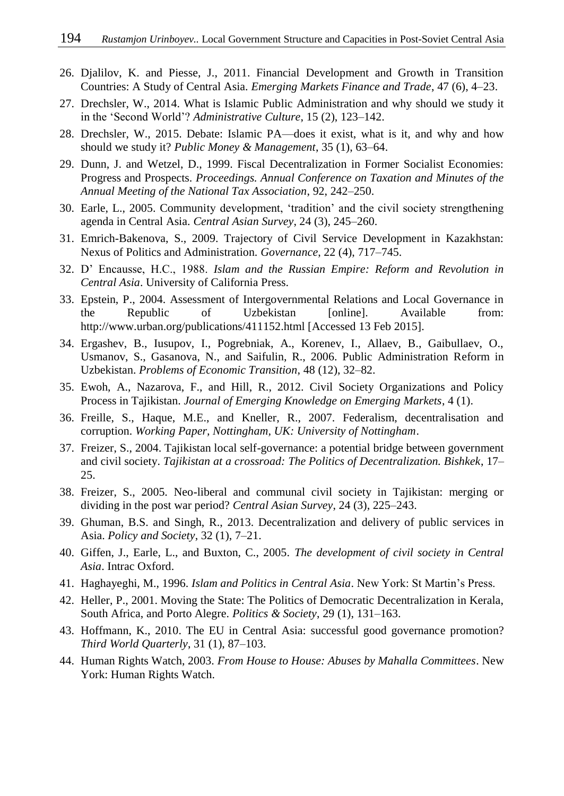- 26. Djalilov, K. and Piesse, J., 2011. Financial Development and Growth in Transition Countries: A Study of Central Asia. *Emerging Markets Finance and Trade*, 47 (6), 4–23.
- 27. Drechsler, W., 2014. What is Islamic Public Administration and why should we study it in the 'Second World'? *Administrative Culture*, 15 (2), 123–142.
- 28. Drechsler, W., 2015. Debate: Islamic PA—does it exist, what is it, and why and how should we study it? *Public Money & Management*, 35 (1), 63–64.
- 29. Dunn, J. and Wetzel, D., 1999. Fiscal Decentralization in Former Socialist Economies: Progress and Prospects. *Proceedings. Annual Conference on Taxation and Minutes of the Annual Meeting of the National Tax Association*, 92, 242–250.
- 30. Earle, L., 2005. Community development, 'tradition' and the civil society strengthening agenda in Central Asia. *Central Asian Survey*, 24 (3), 245–260.
- 31. Emrich-Bakenova, S., 2009. Trajectory of Civil Service Development in Kazakhstan: Nexus of Politics and Administration. *Governance*, 22 (4), 717–745.
- 32. D' Encausse, H.C., 1988. *Islam and the Russian Empire: Reform and Revolution in Central Asia*. University of California Press.
- 33. Epstein, P., 2004. Assessment of Intergovernmental Relations and Local Governance in the Republic of Uzbekistan [online]. Available from: http://www.urban.org/publications/411152.html [Accessed 13 Feb 2015].
- 34. Ergashev, B., Iusupov, I., Pogrebniak, A., Korenev, I., Allaev, B., Gaibullaev, O., Usmanov, S., Gasanova, N., and Saifulin, R., 2006. Public Administration Reform in Uzbekistan. *Problems of Economic Transition*, 48 (12), 32–82.
- 35. Ewoh, A., Nazarova, F., and Hill, R., 2012. Civil Society Organizations and Policy Process in Tajikistan. *Journal of Emerging Knowledge on Emerging Markets*, 4 (1).
- 36. Freille, S., Haque, M.E., and Kneller, R., 2007. Federalism, decentralisation and corruption. *Working Paper, Nottingham, UK: University of Nottingham*.
- 37. Freizer, S., 2004. Tajikistan local self-governance: a potential bridge between government and civil society. *Tajikistan at a crossroad: The Politics of Decentralization. Bishkek*, 17– 25.
- 38. Freizer, S., 2005. Neo-liberal and communal civil society in Tajikistan: merging or dividing in the post war period? *Central Asian Survey*, 24 (3), 225–243.
- 39. Ghuman, B.S. and Singh, R., 2013. Decentralization and delivery of public services in Asia. *Policy and Society*, 32 (1), 7–21.
- 40. Giffen, J., Earle, L., and Buxton, C., 2005. *The development of civil society in Central Asia*. Intrac Oxford.
- 41. Haghayeghi, M., 1996. *Islam and Politics in Central Asia*. New York: St Martin's Press.
- 42. Heller, P., 2001. Moving the State: The Politics of Democratic Decentralization in Kerala, South Africa, and Porto Alegre. *Politics & Society*, 29 (1), 131–163.
- 43. Hoffmann, K., 2010. The EU in Central Asia: successful good governance promotion? *Third World Quarterly*, 31 (1), 87–103.
- 44. Human Rights Watch, 2003. *From House to House: Abuses by Mahalla Committees*. New York: Human Rights Watch.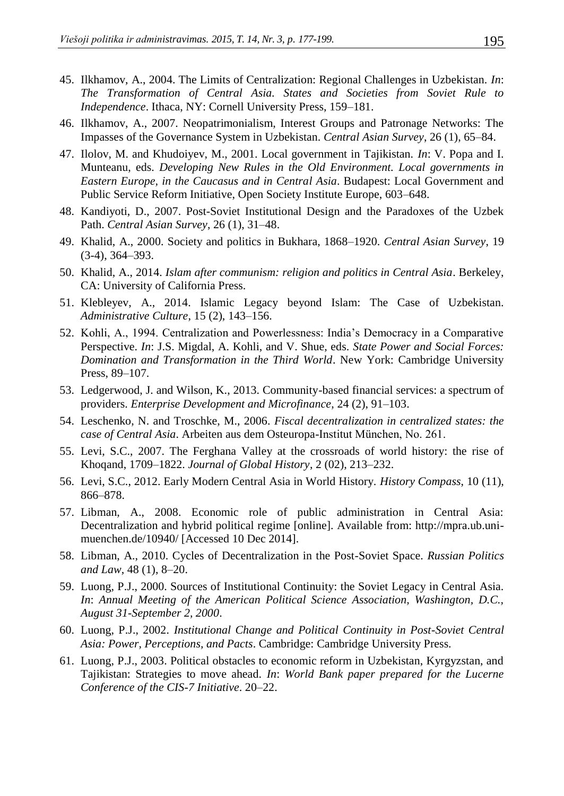- 45. Ilkhamov, A., 2004. The Limits of Centralization: Regional Challenges in Uzbekistan. *In*: *The Transformation of Central Asia. States and Societies from Soviet Rule to Independence*. Ithaca, NY: Cornell University Press, 159–181.
- 46. Ilkhamov, A., 2007. Neopatrimonialism, Interest Groups and Patronage Networks: The Impasses of the Governance System in Uzbekistan. *Central Asian Survey*, 26 (1), 65–84.
- 47. Ilolov, M. and Khudoiyev, M., 2001. Local government in Tajikistan. *In*: V. Popa and I. Munteanu, eds. *Developing New Rules in the Old Environment. Local governments in Eastern Europe, in the Caucasus and in Central Asia*. Budapest: Local Government and Public Service Reform Initiative, Open Society Institute Europe, 603–648.
- 48. Kandiyoti, D., 2007. Post-Soviet Institutional Design and the Paradoxes of the Uzbek Path. *Central Asian Survey*, 26 (1), 31–48.
- 49. Khalid, A., 2000. Society and politics in Bukhara, 1868–1920. *Central Asian Survey*, 19 (3-4), 364–393.
- 50. Khalid, A., 2014. *Islam after communism: religion and politics in Central Asia*. Berkeley, CA: University of California Press.
- 51. Klebleyev, A., 2014. Islamic Legacy beyond Islam: The Case of Uzbekistan. *Administrative Culture*, 15 (2), 143–156.
- 52. Kohli, A., 1994. Centralization and Powerlessness: India's Democracy in a Comparative Perspective. *In*: J.S. Migdal, A. Kohli, and V. Shue, eds. *State Power and Social Forces: Domination and Transformation in the Third World*. New York: Cambridge University Press, 89–107.
- 53. Ledgerwood, J. and Wilson, K., 2013. Community-based financial services: a spectrum of providers. *Enterprise Development and Microfinance*, 24 (2), 91–103.
- 54. Leschenko, N. and Troschke, M., 2006. *Fiscal decentralization in centralized states: the case of Central Asia*. Arbeiten aus dem Osteuropa-Institut München, No. 261.
- 55. Levi, S.C., 2007. The Ferghana Valley at the crossroads of world history: the rise of Khoqand, 1709–1822. *Journal of Global History*, 2 (02), 213–232.
- 56. Levi, S.C., 2012. Early Modern Central Asia in World History. *History Compass*, 10 (11), 866–878.
- 57. Libman, A., 2008. Economic role of public administration in Central Asia: Decentralization and hybrid political regime [online]. Available from: http://mpra.ub.unimuenchen.de/10940/ [Accessed 10 Dec 2014].
- 58. Libman, A., 2010. Cycles of Decentralization in the Post-Soviet Space. *Russian Politics and Law*, 48 (1), 8–20.
- 59. Luong, P.J., 2000. Sources of Institutional Continuity: the Soviet Legacy in Central Asia. *In*: *Annual Meeting of the American Political Science Association, Washington, D.C., August 31-September 2, 2000*.
- 60. Luong, P.J., 2002. *Institutional Change and Political Continuity in Post-Soviet Central Asia: Power, Perceptions, and Pacts*. Cambridge: Cambridge University Press.
- 61. Luong, P.J., 2003. Political obstacles to economic reform in Uzbekistan, Kyrgyzstan, and Tajikistan: Strategies to move ahead. *In*: *World Bank paper prepared for the Lucerne Conference of the CIS-7 Initiative*. 20–22.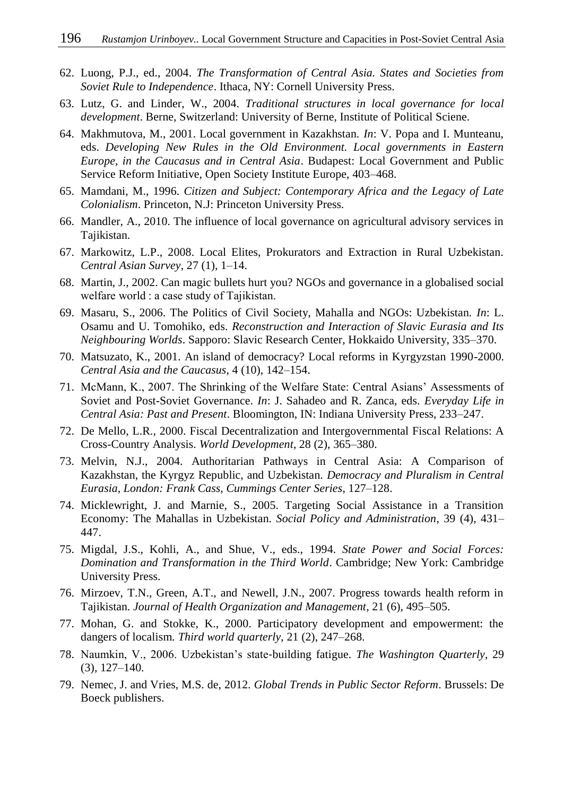- 62. Luong, P.J., ed., 2004. *The Transformation of Central Asia. States and Societies from Soviet Rule to Independence*. Ithaca, NY: Cornell University Press.
- 63. Lutz, G. and Linder, W., 2004. *Traditional structures in local governance for local development*. Berne, Switzerland: University of Berne, Institute of Political Sciene.
- 64. Makhmutova, M., 2001. Local government in Kazakhstan. *In*: V. Popa and I. Munteanu, eds. *Developing New Rules in the Old Environment. Local governments in Eastern Europe, in the Caucasus and in Central Asia*. Budapest: Local Government and Public Service Reform Initiative, Open Society Institute Europe, 403–468.
- 65. Mamdani, M., 1996. *Citizen and Subject: Contemporary Africa and the Legacy of Late Colonialism*. Princeton, N.J: Princeton University Press.
- 66. Mandler, A., 2010. The influence of local governance on agricultural advisory services in Tajikistan.
- 67. Markowitz, L.P., 2008. Local Elites, Prokurators and Extraction in Rural Uzbekistan. *Central Asian Survey*, 27 (1), 1–14.
- 68. Martin, J., 2002. Can magic bullets hurt you? NGOs and governance in a globalised social welfare world : a case study of Tajikistan.
- 69. Masaru, S., 2006. The Politics of Civil Society, Mahalla and NGOs: Uzbekistan. *In*: L. Osamu and U. Tomohiko, eds. *Reconstruction and Interaction of Slavic Eurasia and Its Neighbouring Worlds*. Sapporo: Slavic Research Center, Hokkaido University, 335–370.
- 70. Matsuzato, K., 2001. An island of democracy? Local reforms in Kyrgyzstan 1990-2000. *Central Asia and the Caucasus*, 4 (10), 142–154.
- 71. McMann, K., 2007. The Shrinking of the Welfare State: Central Asians' Assessments of Soviet and Post-Soviet Governance. *In*: J. Sahadeo and R. Zanca, eds. *Everyday Life in Central Asia: Past and Present*. Bloomington, IN: Indiana University Press, 233–247.
- 72. De Mello, L.R., 2000. Fiscal Decentralization and Intergovernmental Fiscal Relations: A Cross-Country Analysis. *World Development*, 28 (2), 365–380.
- 73. Melvin, N.J., 2004. Authoritarian Pathways in Central Asia: A Comparison of Kazakhstan, the Kyrgyz Republic, and Uzbekistan. *Democracy and Pluralism in Central Eurasia, London: Frank Cass, Cummings Center Series*, 127–128.
- 74. Micklewright, J. and Marnie, S., 2005. Targeting Social Assistance in a Transition Economy: The Mahallas in Uzbekistan. *Social Policy and Administration*, 39 (4), 431– 447.
- 75. Migdal, J.S., Kohli, A., and Shue, V., eds., 1994. *State Power and Social Forces: Domination and Transformation in the Third World*. Cambridge; New York: Cambridge University Press.
- 76. Mirzoev, T.N., Green, A.T., and Newell, J.N., 2007. Progress towards health reform in Tajikistan. *Journal of Health Organization and Management*, 21 (6), 495–505.
- 77. Mohan, G. and Stokke, K., 2000. Participatory development and empowerment: the dangers of localism. *Third world quarterly*, 21 (2), 247–268.
- 78. Naumkin, V., 2006. Uzbekistan's state‐building fatigue. *The Washington Quarterly*, 29 (3), 127–140.
- 79. Nemec, J. and Vries, M.S. de, 2012. *Global Trends in Public Sector Reform*. Brussels: De Boeck publishers.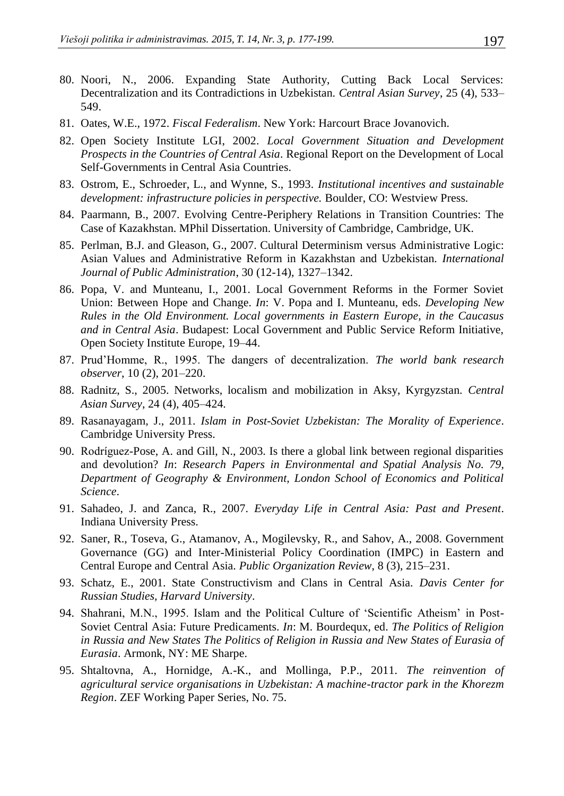- 80. Noori, N., 2006. Expanding State Authority, Cutting Back Local Services: Decentralization and its Contradictions in Uzbekistan. *Central Asian Survey*, 25 (4), 533– 549.
- 81. Oates, W.E., 1972. *Fiscal Federalism*. New York: Harcourt Brace Jovanovich.
- 82. Open Society Institute LGI, 2002. *Local Government Situation and Development Prospects in the Countries of Central Asia*. Regional Report on the Development of Local Self-Governments in Central Asia Countries.
- 83. Ostrom, E., Schroeder, L., and Wynne, S., 1993. *Institutional incentives and sustainable development: infrastructure policies in perspective.* Boulder, CO: Westview Press.
- 84. Paarmann, B., 2007. Evolving Centre-Periphery Relations in Transition Countries: The Case of Kazakhstan. MPhil Dissertation. University of Cambridge, Cambridge, UK.
- 85. Perlman, B.J. and Gleason, G., 2007. Cultural Determinism versus Administrative Logic: Asian Values and Administrative Reform in Kazakhstan and Uzbekistan. *International Journal of Public Administration*, 30 (12-14), 1327–1342.
- 86. Popa, V. and Munteanu, I., 2001. Local Government Reforms in the Former Soviet Union: Between Hope and Change. *In*: V. Popa and I. Munteanu, eds. *Developing New Rules in the Old Environment. Local governments in Eastern Europe, in the Caucasus and in Central Asia*. Budapest: Local Government and Public Service Reform Initiative, Open Society Institute Europe, 19–44.
- 87. Prud'Homme, R., 1995. The dangers of decentralization. *The world bank research observer*, 10 (2), 201–220.
- 88. Radnitz, S., 2005. Networks, localism and mobilization in Aksy, Kyrgyzstan. *Central Asian Survey*, 24 (4), 405–424.
- 89. Rasanayagam, J., 2011. *Islam in Post-Soviet Uzbekistan: The Morality of Experience*. Cambridge University Press.
- 90. Rodríguez-Pose, A. and Gill, N., 2003. Is there a global link between regional disparities and devolution? *In*: *Research Papers in Environmental and Spatial Analysis No. 79, Department of Geography & Environment, London School of Economics and Political Science*.
- 91. Sahadeo, J. and Zanca, R., 2007. *Everyday Life in Central Asia: Past and Present*. Indiana University Press.
- 92. Saner, R., Toseva, G., Atamanov, A., Mogilevsky, R., and Sahov, A., 2008. Government Governance (GG) and Inter-Ministerial Policy Coordination (IMPC) in Eastern and Central Europe and Central Asia. *Public Organization Review*, 8 (3), 215–231.
- 93. Schatz, E., 2001. State Constructivism and Clans in Central Asia. *Davis Center for Russian Studies, Harvard University*.
- 94. Shahrani, M.N., 1995. Islam and the Political Culture of 'Scientific Atheism' in Post-Soviet Central Asia: Future Predicaments. *In*: M. Bourdequx, ed. *The Politics of Religion in Russia and New States The Politics of Religion in Russia and New States of Eurasia of Eurasia*. Armonk, NY: ME Sharpe.
- 95. Shtaltovna, A., Hornidge, A.-K., and Mollinga, P.P., 2011. *The reinvention of agricultural service organisations in Uzbekistan: A machine-tractor park in the Khorezm Region*. ZEF Working Paper Series, No. 75.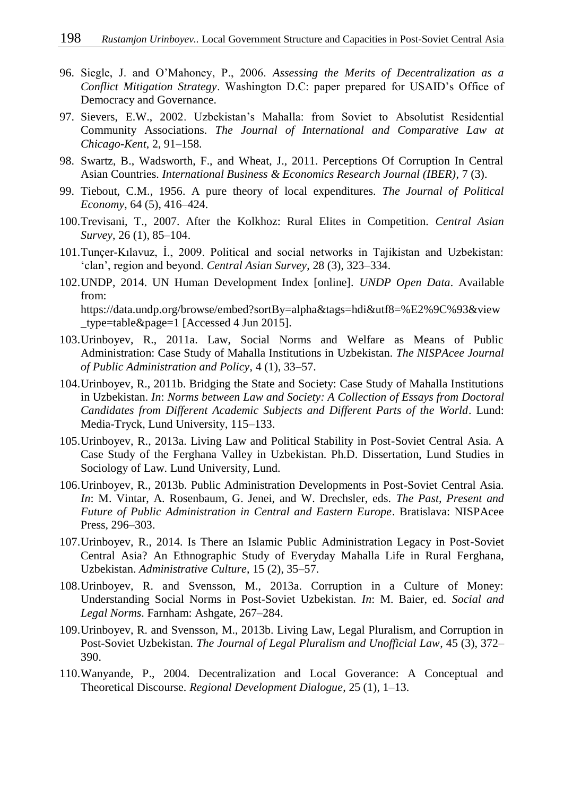- 96. Siegle, J. and O'Mahoney, P., 2006. *Assessing the Merits of Decentralization as a Conflict Mitigation Strategy*. Washington D.C: paper prepared for USAID's Office of Democracy and Governance.
- 97. Sievers, E.W., 2002. Uzbekistan's Mahalla: from Soviet to Absolutist Residential Community Associations. *The Journal of International and Comparative Law at Chicago-Kent*, 2, 91–158.
- 98. Swartz, B., Wadsworth, F., and Wheat, J., 2011. Perceptions Of Corruption In Central Asian Countries. *International Business & Economics Research Journal (IBER)*, 7 (3).
- 99. Tiebout, C.M., 1956. A pure theory of local expenditures. *The Journal of Political Economy*, 64 (5), 416–424.
- 100.Trevisani, T., 2007. After the Kolkhoz: Rural Elites in Competition. *Central Asian Survey*, 26 (1), 85–104.
- 101.Tunçer-Kılavuz, İ., 2009. Political and social networks in Tajikistan and Uzbekistan: 'clan', region and beyond. *Central Asian Survey*, 28 (3), 323–334.
- 102.UNDP, 2014. UN Human Development Index [online]. *UNDP Open Data*. Available from: https://data.undp.org/browse/embed?sortBy=alpha&tags=hdi&utf8=%E2%9C%93&view \_type=table&page=1 [Accessed 4 Jun 2015].
- 103.Urinboyev, R., 2011a. Law, Social Norms and Welfare as Means of Public Administration: Case Study of Mahalla Institutions in Uzbekistan. *The NISPAcee Journal of Public Administration and Policy*, 4 (1), 33–57.
- 104.Urinboyev, R., 2011b. Bridging the State and Society: Case Study of Mahalla Institutions in Uzbekistan. *In*: *Norms between Law and Society: A Collection of Essays from Doctoral Candidates from Different Academic Subjects and Different Parts of the World*. Lund: Media-Tryck, Lund University, 115–133.
- 105.Urinboyev, R., 2013a. Living Law and Political Stability in Post-Soviet Central Asia. A Case Study of the Ferghana Valley in Uzbekistan. Ph.D. Dissertation, Lund Studies in Sociology of Law. Lund University, Lund.
- 106.Urinboyev, R., 2013b. Public Administration Developments in Post-Soviet Central Asia. *In*: M. Vintar, A. Rosenbaum, G. Jenei, and W. Drechsler, eds. *The Past, Present and Future of Public Administration in Central and Eastern Europe*. Bratislava: NISPAcee Press, 296–303.
- 107.Urinboyev, R., 2014. Is There an Islamic Public Administration Legacy in Post-Soviet Central Asia? An Ethnographic Study of Everyday Mahalla Life in Rural Ferghana, Uzbekistan. *Administrative Culture*, 15 (2), 35–57.
- 108.Urinboyev, R. and Svensson, M., 2013a. Corruption in a Culture of Money: Understanding Social Norms in Post-Soviet Uzbekistan. *In*: M. Baier, ed. *Social and Legal Norms*. Farnham: Ashgate, 267–284.
- 109.Urinboyev, R. and Svensson, M., 2013b. Living Law, Legal Pluralism, and Corruption in Post-Soviet Uzbekistan. *The Journal of Legal Pluralism and Unofficial Law*, 45 (3), 372– 390.
- 110.Wanyande, P., 2004. Decentralization and Local Goverance: A Conceptual and Theoretical Discourse. *Regional Development Dialogue*, 25 (1), 1–13.